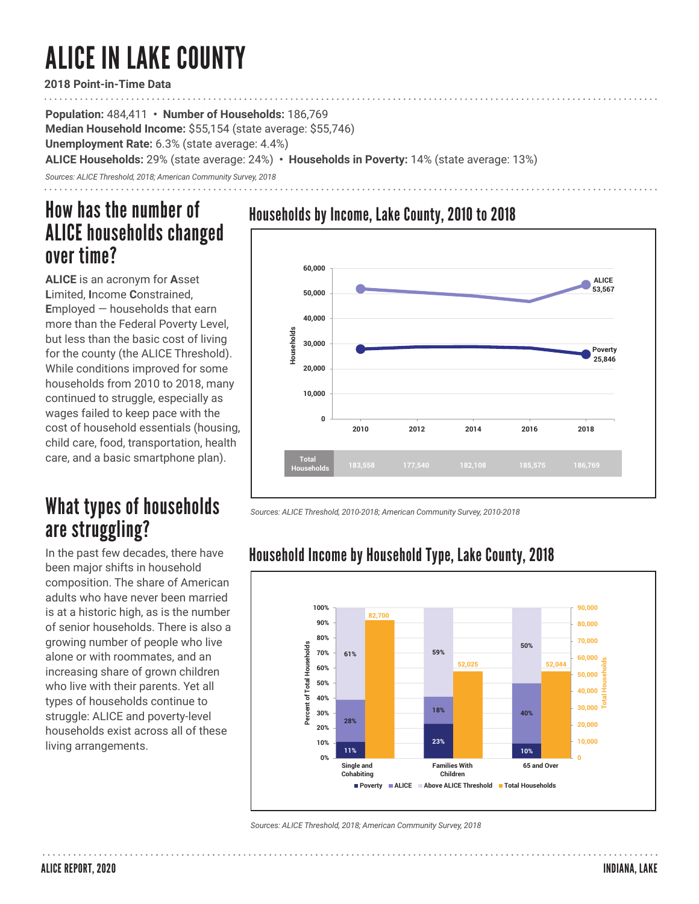# ALICE IN LAKE COUNTY

**2018 Point-in-Time Data**

**Population:** 484,411 **• Number of Households:** 186,769 **Median Household Income:** \$55,154 (state average: \$55,746) **Unemployment Rate:** 6.3% (state average: 4.4%) **ALICE Households:** 29% (state average: 24%) **• Households in Poverty:** 14% (state average: 13%)

*Sources: ALICE Threshold, 2018; American Community Survey, 2018*

## How has the number of ALICE households changed over time?

**ALICE** is an acronym for **A**sset **L**imited, **I**ncome **C**onstrained, **E**mployed — households that earn more than the Federal Poverty Level, but less than the basic cost of living for the county (the ALICE Threshold). While conditions improved for some households from 2010 to 2018, many continued to struggle, especially as wages failed to keep pace with the cost of household essentials (housing, child care, food, transportation, health care, and a basic smartphone plan).

# What types of households are struggling?

In the past few decades, there have been major shifts in household composition. The share of American adults who have never been married is at a historic high, as is the number of senior households. There is also a growing number of people who live alone or with roommates, and an increasing share of grown children who live with their parents. Yet all types of households continue to struggle: ALICE and poverty-level households exist across all of these living arrangements.

### Households by Income, Lake County, 2010 to 2018



*Sources: ALICE Threshold, 2010-2018; American Community Survey, 2010-2018* 

#### **100% 90,000 82,700 90% 80,000 80% 70,000 50%** Percent of Total Households **Percent of Total Households 70% 61% 59% 60,000 52,025 52,044 Total Households 60% 50,000 50% 40,000 40% 30,000 30% 18% 40% 28% 20,000 20% 23% 10,000 10% 11% 10% 0% 0 Single and Families With 65 and Over Cohabiting Children Poverty ALICE Above ALICE Threshold Total Households**

Household Income by Household Type, Lake County, 2018

*Sources: ALICE Threshold, 2018; American Community Survey, 2018*